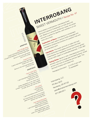Frank's Wild Years<br>Frank's Wild Year<br>1 part Vermouth<br>ang Sweet Vermon juice 1 part Dark Rum Frank Dark Intervalue<br>1 part Vermouth<br>1 part Interrobang Sweet Vermon Juick<br>1 part Interrobang <sub>1/4</sub> part Jerrup to tasi 1 pc<br>Sweet lemon juice<br>V<sub>4</sub> part lemon to tast V<sub>A</sub> part time to taste<br>Simple Syrup to taste<br>Simple Syrup to taste<br>e ingredients on ice, with a splash<br>ith crushed ice, with a lemon slice.<br>of soda, serve with a lemon slice. Shake ingredients on ice, strain into a shake ingredients on ice, strain into a 1 part Simple<br>
Simpler strain the splash<br>
Shake ingredients on ice, with a splash<br>
shake ingredients of some with a lemon slice.<br> **tumbler** with crushed with the Vialie<br>
tumbler of soda, serve with the Vialie The Vialiere 1 part Bourbon 1 part Cynar 1 part Interrobang sweet vermouth **Stir long and well with ice in a mixing and well with ice in a mixing of the contract of the contract of the mixing of the contract of the contract of the contract of the contract of the contract of the contract of the co glass** and strain into a cocktail glass. **Garnish with orange slice.** Interrobang Manhattan 2 parts Rye Whiskey 1 part Interrobang Sweet Vermouth dash Angostura Bitters *Shake ingredients on ice,*  **strain into a Martini glass, garish** with a twist of lemon.

Interrobang, LLC PO Box 3072 Newberg, OR 97132 sales@whatisinterrobang.com 971-264-3311

Hand-crafted in small batches, Interrobang Sweet Vermouth's blend of 12 botanicals is a mark above the venture and on a centuries old German recipe, this artisan vermouth is perfect for aperitifs, craft cocktails or on the rocks with a twist. Explanation of Name: Interrobang is a nonstandard punctuation mark used in various written languages and Huntended to combine the functions of a question mark and an exclamation point. Ingredients: This sweet vermouth is made with local Pacific Northwest wine grapes and fortified with Clear Creek Brandy. Our ingredients include wormwood, gentian Stroom brandy. July 1191 Burghts Installable botanicals. 17.5% ABV **Tasting Notes:** Garnet in color, Interrobang has a strong aromatic nose full of orange peel and baking spices. Sweet up front with hints of cranberries and sour apple. This Vermouth finishes with a bitter kick. natic nose Io...<br>natic nose Io...<br>front with hinishes with a bitter klow.<br>armouth finishes with a bitter klow.<br>armouth finishes with 12 cases/pallet<br>packaging Information: 12 cases/pallet 2×<sup>315</sup><br>72 cases/pallet

INTERROBANG

SWEET VERMOUTH I Recipe No. 47

**RECIPES** $M_{0.47}$ **INTERROBANG VERMOUTH** 

APERTIFS<br>Jade's Ginger Bang Jade's Ginger Bang<br>Jade's Ginger Memouth Jade's Ginger<br>Jade's Ginger Dee<br>2 parts Interrobang Sweet Ginger Bee<br>2 parts daberg or cashing cocks garnish 2-3 parts Interrobang Sweet Verlington<br>2-2 parts Bundaberg or Gosling Ginger Beer<br>2-3 parts Bundaberg on the rocks garnished. remobang 5th Gings arnished<br>berg or Gosling Gings garnished.<br>Serve on the rocks garnished. Sweet & Tonic 2 parts Interrobang Sweet & Julius 3 parts tonic water *Serve on the rocks garnished with a twist of lime.*

**COCKTAILS**